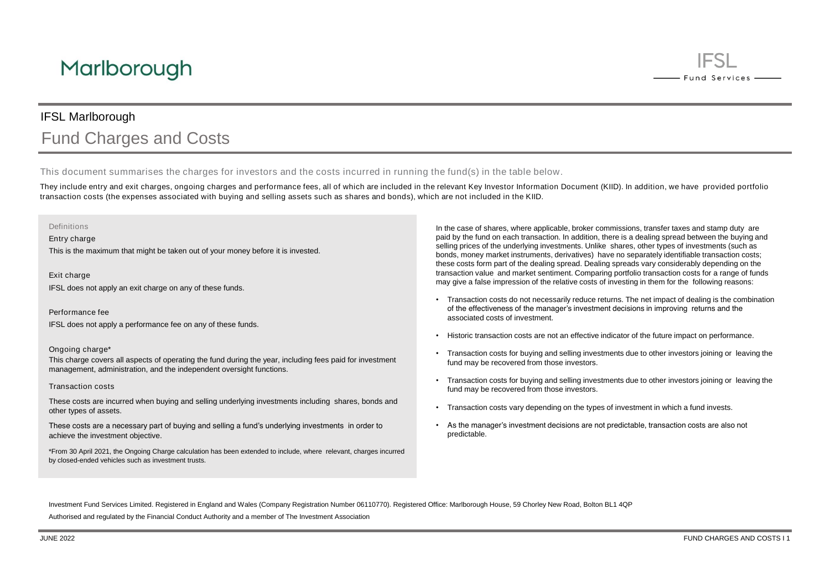# IFSL Marlborough Fund Charges and Costs

This document summarises the charges for investors and the costs incurred in running the fund(s) in the table below.

They include entry and exit charges, ongoing charges and performance fees, all of which are included in the relevant Key Investor Information Document (KIID). In addition, we have provided portfolio transaction costs (the expenses associated with buying and selling assets such as shares and bonds), which are not included in the KIID.

## Definitions

Entry charge

This is the maximum that might be taken out of your money before it is invested.

Exit charge IFSL does not apply an exit charge on any of these funds.

Performance fee

IFSL does not apply a performance fee on any of these funds.

## Ongoing charge\*

This charge covers all aspects of operating the fund during the year, including fees paid for investment management, administration, and the independent oversight functions.

#### Transaction costs

These costs are incurred when buying and selling underlying investments including shares, bonds and other types of assets.

These costs are a necessary part of buying and selling a fund's underlying investments in order to achieve the investment objective.

\*From 30 April 2021, the Ongoing Charge calculation has been extended to include, where relevant, charges incurred by closed-ended vehicles such as investment trusts.

In the case of shares, where applicable, broker commissions, transfer taxes and stamp duty are paid by the fund on each transaction. In addition, there is a dealing spread between the buying and selling prices of the underlying investments. Unlike shares, other types of investments (such as bonds, money market instruments, derivatives) have no separately identifiable transaction costs; these costs form part of the dealing spread. Dealing spreads vary considerably depending on the transaction value and market sentiment. Comparing portfolio transaction costs for a range of funds may give a false impression of the relative costs of investing in them for the following reasons:

- Transaction costs do not necessarily reduce returns. The net impact of dealing is the combination of the effectiveness of the manager's investment decisions in improving returns and the associated costs of investment.
- Historic transaction costs are not an effective indicator of the future impact on performance.
- Transaction costs for buying and selling investments due to other investors joining or leaving the fund may be recovered from those investors.
- Transaction costs for buying and selling investments due to other investors joining or leaving the fund may be recovered from those investors.
- Transaction costs vary depending on the types of investment in which a fund invests.
- As the manager's investment decisions are not predictable, transaction costs are also not predictable.

Investment Fund Services Limited. Registered in England and Wales (Company Registration Number 06110770). Registered Office: Marlborough House, 59 Chorley New Road, Bolton BL1 4QP

Authorised and regulated by the Financial Conduct Authority and a member of The Investment Association

**IESL** 

- Fund Services -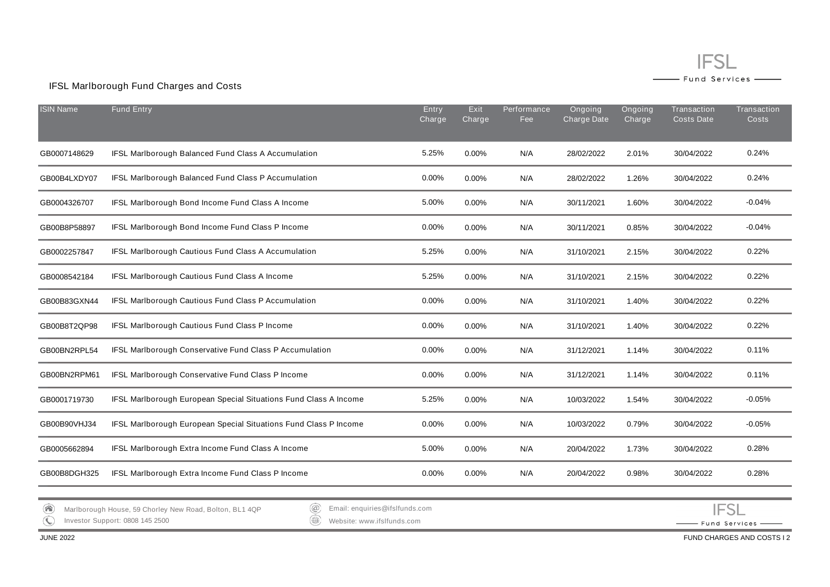## **IFSL** — Fund Services —

- Fund Services -

 $\sim$ 

## IFSL Marlborough Fund Charges and Costs

| <b>ISIN Name</b>                                                                                                                                | <b>Fund Entry</b>                                                | Entry<br>Charge | Exit<br>Charge | Performance<br>Fee | Ongoing<br>Charge Date | Ongoing<br>Charge | Transaction<br><b>Costs Date</b> | Transaction<br><b>Costs</b> |  |
|-------------------------------------------------------------------------------------------------------------------------------------------------|------------------------------------------------------------------|-----------------|----------------|--------------------|------------------------|-------------------|----------------------------------|-----------------------------|--|
| GB0007148629                                                                                                                                    | IFSL Marlborough Balanced Fund Class A Accumulation              | 5.25%           | 0.00%          | N/A                | 28/02/2022             | 2.01%             | 30/04/2022                       | 0.24%                       |  |
| GB00B4LXDY07                                                                                                                                    | IFSL Marlborough Balanced Fund Class P Accumulation              | 0.00%           | 0.00%          | N/A                | 28/02/2022             | 1.26%             | 30/04/2022                       | 0.24%                       |  |
| GB0004326707                                                                                                                                    | IFSL Marlborough Bond Income Fund Class A Income                 | 5.00%           | 0.00%          | N/A                | 30/11/2021             | 1.60%             | 30/04/2022                       | $-0.04%$                    |  |
| GB00B8P58897                                                                                                                                    | IFSL Marlborough Bond Income Fund Class P Income                 | 0.00%           | 0.00%          | N/A                | 30/11/2021             | 0.85%             | 30/04/2022                       | $-0.04%$                    |  |
| GB0002257847                                                                                                                                    | IFSL Marlborough Cautious Fund Class A Accumulation              | 5.25%           | 0.00%          | N/A                | 31/10/2021             | 2.15%             | 30/04/2022                       | 0.22%                       |  |
| GB0008542184                                                                                                                                    | IFSL Marlborough Cautious Fund Class A Income                    | 5.25%           | 0.00%          | N/A                | 31/10/2021             | 2.15%             | 30/04/2022                       | 0.22%                       |  |
| GB00B83GXN44                                                                                                                                    | IFSL Marlborough Cautious Fund Class P Accumulation              | 0.00%           | 0.00%          | N/A                | 31/10/2021             | 1.40%             | 30/04/2022                       | 0.22%                       |  |
| GB00B8T2QP98                                                                                                                                    | IFSL Marlborough Cautious Fund Class P Income                    | 0.00%           | 0.00%          | N/A                | 31/10/2021             | 1.40%             | 30/04/2022                       | 0.22%                       |  |
| GB00BN2RPL54                                                                                                                                    | IFSL Marlborough Conservative Fund Class P Accumulation          | 0.00%           | 0.00%          | N/A                | 31/12/2021             | 1.14%             | 30/04/2022                       | 0.11%                       |  |
| GB00BN2RPM61                                                                                                                                    | IFSL Marlborough Conservative Fund Class P Income                | 0.00%           | 0.00%          | N/A                | 31/12/2021             | 1.14%             | 30/04/2022                       | 0.11%                       |  |
| GB0001719730                                                                                                                                    | IFSL Marlborough European Special Situations Fund Class A Income | 5.25%           | 0.00%          | N/A                | 10/03/2022             | 1.54%             | 30/04/2022                       | $-0.05%$                    |  |
| GB00B90VHJ34                                                                                                                                    | IFSL Marlborough European Special Situations Fund Class P Income | 0.00%           | 0.00%          | N/A                | 10/03/2022             | 0.79%             | 30/04/2022                       | $-0.05%$                    |  |
| GB0005662894                                                                                                                                    | IFSL Marlborough Extra Income Fund Class A Income                | 5.00%           | 0.00%          | N/A                | 20/04/2022             | 1.73%             | 30/04/2022                       | 0.28%                       |  |
| GB00B8DGH325                                                                                                                                    | IFSL Marlborough Extra Income Fund Class P Income                | 0.00%           | 0.00%          | N/A                | 20/04/2022             | 0.98%             | 30/04/2022                       | 0.28%                       |  |
|                                                                                                                                                 |                                                                  |                 |                |                    |                        |                   |                                  |                             |  |
| $^{\copyright}$<br>Email: enquiries@ifslfunds.com<br>$\left( \bigtriangleup \right)$<br>Marlborough House, 59 Chorley New Road, Bolton, BL1 4QP |                                                                  |                 |                |                    |                        |                   | IFSI                             |                             |  |

 $\mathbb{C}$ 

Email: enquiries@ifslfunds.com Website: www.ifslfunds.com

Investor Support: 0808 145 2500

JUNE 2022 FUND CHARGES AND COSTS I 2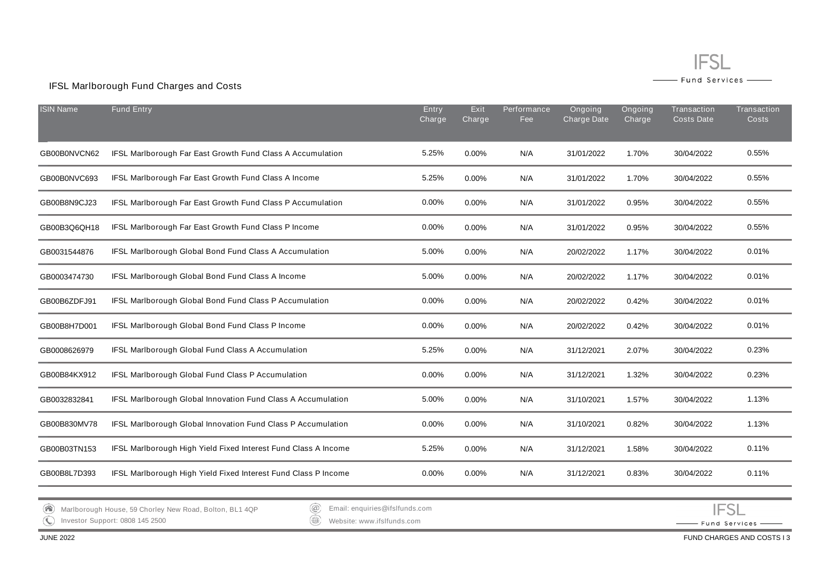

# IFSL Marlborough Fund Charges and Costs

| <b>ISIN Name</b> | <b>Fund Entry</b>                                              | Entry<br>Charge | Exit<br>Charge | Performance<br>Fee | Ongoing<br>Charge Date | Ongoing<br>Charge | Transaction<br><b>Costs Date</b> | <b>Transaction</b><br><b>Costs</b> |
|------------------|----------------------------------------------------------------|-----------------|----------------|--------------------|------------------------|-------------------|----------------------------------|------------------------------------|
| GB00B0NVCN62     | IFSL Marlborough Far East Growth Fund Class A Accumulation     | 5.25%           | 0.00%          | N/A                | 31/01/2022             | 1.70%             | 30/04/2022                       | 0.55%                              |
| GB00B0NVC693     | IFSL Marlborough Far East Growth Fund Class A Income           | 5.25%           | 0.00%          | N/A                | 31/01/2022             | 1.70%             | 30/04/2022                       | 0.55%                              |
| GB00B8N9CJ23     | IFSL Marlborough Far East Growth Fund Class P Accumulation     | 0.00%           | 0.00%          | N/A                | 31/01/2022             | 0.95%             | 30/04/2022                       | 0.55%                              |
| GB00B3Q6QH18     | IFSL Marlborough Far East Growth Fund Class P Income           | 0.00%           | 0.00%          | N/A                | 31/01/2022             | 0.95%             | 30/04/2022                       | 0.55%                              |
| GB0031544876     | IFSL Marlborough Global Bond Fund Class A Accumulation         | 5.00%           | 0.00%          | N/A                | 20/02/2022             | 1.17%             | 30/04/2022                       | 0.01%                              |
| GB0003474730     | IFSL Marlborough Global Bond Fund Class A Income               | 5.00%           | 0.00%          | N/A                | 20/02/2022             | 1.17%             | 30/04/2022                       | 0.01%                              |
| GB00B6ZDFJ91     | IFSL Marlborough Global Bond Fund Class P Accumulation         | 0.00%           | 0.00%          | N/A                | 20/02/2022             | 0.42%             | 30/04/2022                       | 0.01%                              |
| GB00B8H7D001     | IFSL Marlborough Global Bond Fund Class P Income               | 0.00%           | 0.00%          | N/A                | 20/02/2022             | 0.42%             | 30/04/2022                       | 0.01%                              |
| GB0008626979     | IFSL Marlborough Global Fund Class A Accumulation              | 5.25%           | 0.00%          | N/A                | 31/12/2021             | 2.07%             | 30/04/2022                       | 0.23%                              |
| GB00B84KX912     | IFSL Marlborough Global Fund Class P Accumulation              | 0.00%           | 0.00%          | N/A                | 31/12/2021             | 1.32%             | 30/04/2022                       | 0.23%                              |
| GB0032832841     | IFSL Marlborough Global Innovation Fund Class A Accumulation   | 5.00%           | 0.00%          | N/A                | 31/10/2021             | 1.57%             | 30/04/2022                       | 1.13%                              |
| GB00B830MV78     | IFSL Marlborough Global Innovation Fund Class P Accumulation   | 0.00%           | 0.00%          | N/A                | 31/10/2021             | 0.82%             | 30/04/2022                       | 1.13%                              |
| GB00B03TN153     | IFSL Marlborough High Yield Fixed Interest Fund Class A Income | 5.25%           | 0.00%          | N/A                | 31/12/2021             | 1.58%             | 30/04/2022                       | 0.11%                              |
| GB00B8L7D393     | IFSL Marlborough High Yield Fixed Interest Fund Class P Income | 0.00%           | 0.00%          | N/A                | 31/12/2021             | 0.83%             | 30/04/2022                       | 0.11%                              |
|                  |                                                                |                 |                |                    |                        |                   |                                  |                                    |

Marlborough House, 59 Chorley New Road, Bolton, BL1 4QP  $\bigodot$ 

Email: enquiries@ifslfunds.com

Investor Support: 0808 145 2500

Website: www.ifslfunds.com

**IFSL** - Fund Services -

JUNE 2022 FUND CHARGES AND COSTS I 3